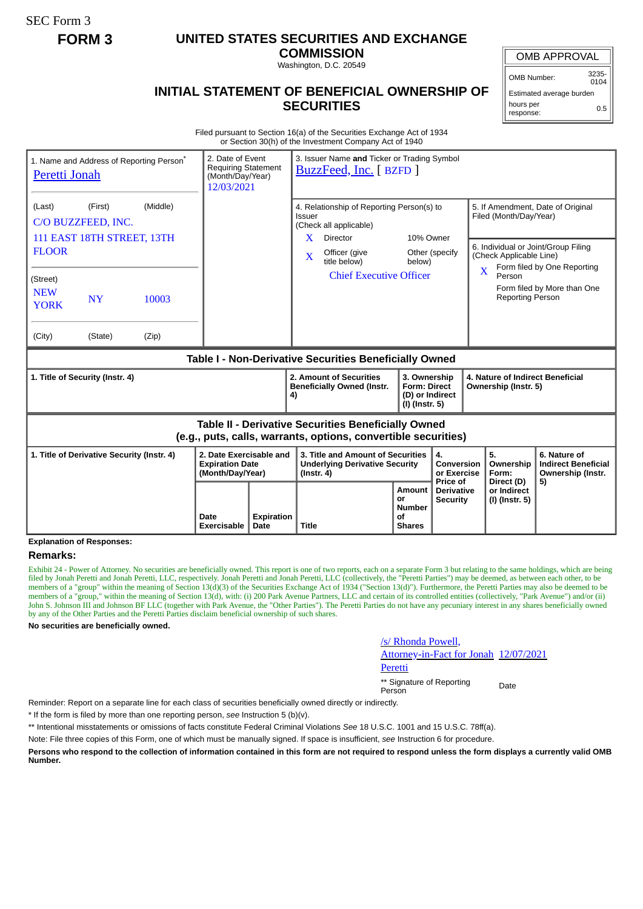SEC Form 3

# **FORM 3 UNITED STATES SECURITIES AND EXCHANGE**

**COMMISSION** Washington, D.C. 20549

OMB APPROVAL

OMB Number: 3235- 0104

0.5

Estimated average burden hours per

response:

# **INITIAL STATEMENT OF BENEFICIAL OWNERSHIP OF SECURITIES**

Filed pursuant to Section 16(a) of the Securities Exchange Act of 1934 or Section 30(h) of the Investment Company Act of 1940

| Peretti Jonah                                                                                                         | 1. Name and Address of Reporting Person <sup>®</sup> | 2. Date of Event<br><b>Requiring Statement</b><br>(Month/Day/Year)<br>12/03/2021 |                                                                       | 3. Issuer Name and Ticker or Trading Symbol<br>BuzzFeed, Inc. [BZFD] |                                                                                                                     |                                                                                                                                                            |                                                                             |                                             |             |                                                                                                                                                              |                                                                 |  |
|-----------------------------------------------------------------------------------------------------------------------|------------------------------------------------------|----------------------------------------------------------------------------------|-----------------------------------------------------------------------|----------------------------------------------------------------------|---------------------------------------------------------------------------------------------------------------------|------------------------------------------------------------------------------------------------------------------------------------------------------------|-----------------------------------------------------------------------------|---------------------------------------------|-------------|--------------------------------------------------------------------------------------------------------------------------------------------------------------|-----------------------------------------------------------------|--|
| (Middle)<br>(First)<br>(Last)<br>C/O BUZZFEED, INC.<br>111 EAST 18TH STREET, 13TH<br><b>FLOOR</b>                     |                                                      |                                                                                  |                                                                       |                                                                      |                                                                                                                     | 4. Relationship of Reporting Person(s) to<br>Issuer<br>(Check all applicable)<br>$\mathbf{X}$<br>Director<br>Officer (give<br>$\mathbf{X}$<br>title below) |                                                                             | 10% Owner<br>Other (specify<br>below)       |             | 5. If Amendment, Date of Original<br>Filed (Month/Day/Year)<br>6. Individual or Joint/Group Filing<br>(Check Applicable Line)<br>Form filed by One Reporting |                                                                 |  |
| (Street)<br><b>NEW</b><br><b>YORK</b>                                                                                 | <b>NY</b>                                            | 10003                                                                            |                                                                       |                                                                      |                                                                                                                     | <b>Chief Executive Officer</b>                                                                                                                             |                                                                             |                                             | $\mathbf X$ | Person<br><b>Reporting Person</b>                                                                                                                            | Form filed by More than One                                     |  |
| (City)<br>(Zip)<br>(State)<br>Table I - Non-Derivative Securities Beneficially Owned                                  |                                                      |                                                                                  |                                                                       |                                                                      |                                                                                                                     |                                                                                                                                                            |                                                                             |                                             |             |                                                                                                                                                              |                                                                 |  |
| 1. Title of Security (Instr. 4)                                                                                       |                                                      |                                                                                  |                                                                       | 2. Amount of Securities<br><b>Beneficially Owned (Instr.</b><br>4)   |                                                                                                                     | 3. Ownership<br><b>Form: Direct</b><br>(I) (Instr. 5)                                                                                                      | 4. Nature of Indirect Beneficial<br>Ownership (Instr. 5)<br>(D) or Indirect |                                             |             |                                                                                                                                                              |                                                                 |  |
| Table II - Derivative Securities Beneficially Owned<br>(e.g., puts, calls, warrants, options, convertible securities) |                                                      |                                                                                  |                                                                       |                                                                      |                                                                                                                     |                                                                                                                                                            |                                                                             |                                             |             |                                                                                                                                                              |                                                                 |  |
| 1. Title of Derivative Security (Instr. 4)                                                                            |                                                      |                                                                                  | 2. Date Exercisable and<br><b>Expiration Date</b><br>(Month/Day/Year) |                                                                      | 3. Title and Amount of Securities<br><b>Underlying Derivative Security</b><br>$($ lnstr. 4 $)$                      |                                                                                                                                                            |                                                                             | 4.<br>Conversion<br>or Exercise<br>Price of |             | 5.<br>Ownership<br>Form:                                                                                                                                     | 6. Nature of<br><b>Indirect Beneficial</b><br>Ownership (Instr. |  |
|                                                                                                                       |                                                      | Date<br>Exercisable                                                              | <b>Expiration</b><br>Date                                             |                                                                      | <b>Amount</b><br><b>Derivative</b><br>or<br><b>Security</b><br><b>Number</b><br>οf<br><b>Title</b><br><b>Shares</b> |                                                                                                                                                            |                                                                             | Direct (D)<br>or Indirect<br>(I) (Instr. 5) | 5)          |                                                                                                                                                              |                                                                 |  |

**Explanation of Responses:**

## **Remarks:**

Exhibit 24 - Power of Attorney. No securities are beneficially owned. This report is one of two reports, each on a separate Form 3 but relating to the same holdings, which are being filed by Jonah Peretti and Jonah Peretti, LLC, respectively. Jonah Peretti and Jonah Peretti, LLC (collectively, the "Peretti Parties") may be deemed, as between each other, to be members of a "group" within the meaning of Section 13(d)(3) of the Securities Exchange Act of 1934 ("Section 13(d)"). Furthermore, the Peretti Parties may also be deemed to be members of a "group," within the meaning of Section 13(d), with: (i) 200 Park Avenue Partners, LLC and certain of its controlled entities (collectively, "Park Avenue") and/or (ii) John S. Johnson III and Johnson BF LLC (together with Park Avenue, the "Other Parties"). The Peretti Parties do not have any pecuniary interest in any shares beneficially owned by any of the Other Parties and the Peretti Parties disclaim beneficial ownership of such shares.

**No securities are beneficially owned.**

### /s/ Rhonda Powell,

Attorney-in-Fact for Jonah Peretti 12/07/2021

\*\* Signature of Reporting Person Date

Reminder: Report on a separate line for each class of securities beneficially owned directly or indirectly.

\* If the form is filed by more than one reporting person, *see* Instruction 5 (b)(v).

\*\* Intentional misstatements or omissions of facts constitute Federal Criminal Violations *See* 18 U.S.C. 1001 and 15 U.S.C. 78ff(a).

Note: File three copies of this Form, one of which must be manually signed. If space is insufficient, *see* Instruction 6 for procedure.

**Persons who respond to the collection of information contained in this form are not required to respond unless the form displays a currently valid OMB Number.**